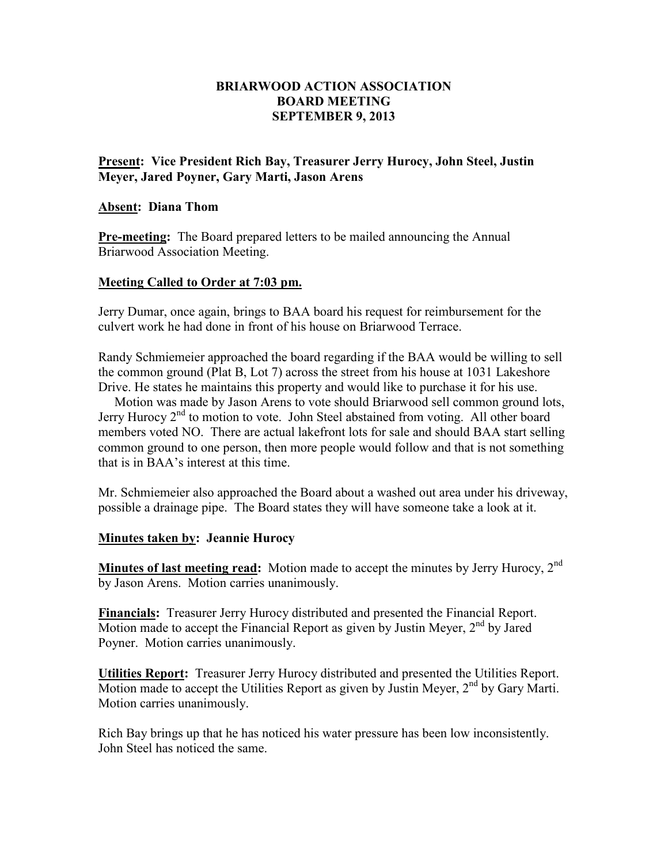### **BRIARWOOD ACTION ASSOCIATION BOARD MEETING SEPTEMBER 9, 2013**

### **Present: Vice President Rich Bay, Treasurer Jerry Hurocy, John Steel, Justin Meyer, Jared Poyner, Gary Marti, Jason Arens**

#### **Absent: Diana Thom**

**Pre-meeting:** The Board prepared letters to be mailed announcing the Annual Briarwood Association Meeting.

### **Meeting Called to Order at 7:03 pm.**

Jerry Dumar, once again, brings to BAA board his request for reimbursement for the culvert work he had done in front of his house on Briarwood Terrace.

Randy Schmiemeier approached the board regarding if the BAA would be willing to sell the common ground (Plat B, Lot 7) across the street from his house at 1031 Lakeshore Drive. He states he maintains this property and would like to purchase it for his use.

 Motion was made by Jason Arens to vote should Briarwood sell common ground lots, Jerry Hurocy 2<sup>nd</sup> to motion to vote. John Steel abstained from voting. All other board members voted NO. There are actual lakefront lots for sale and should BAA start selling common ground to one person, then more people would follow and that is not something that is in BAA's interest at this time.

Mr. Schmiemeier also approached the Board about a washed out area under his driveway, possible a drainage pipe. The Board states they will have someone take a look at it.

# **Minutes taken by: Jeannie Hurocy**

**Minutes of last meeting read:** Motion made to accept the minutes by Jerry Hurocy, 2<sup>nd</sup> by Jason Arens. Motion carries unanimously.

**Financials:** Treasurer Jerry Hurocy distributed and presented the Financial Report. Motion made to accept the Financial Report as given by Justin Meyer,  $2<sup>nd</sup>$  by Jared Poyner. Motion carries unanimously.

**Utilities Report:** Treasurer Jerry Hurocy distributed and presented the Utilities Report. Motion made to accept the Utilities Report as given by Justin Meyer,  $2<sup>nd</sup>$  by Gary Marti. Motion carries unanimously.

Rich Bay brings up that he has noticed his water pressure has been low inconsistently. John Steel has noticed the same.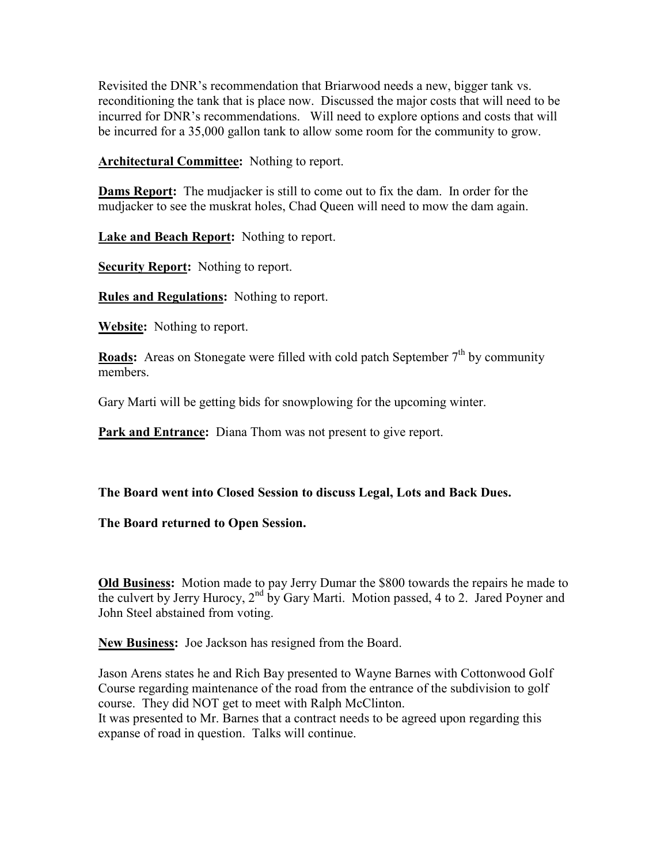Revisited the DNR's recommendation that Briarwood needs a new, bigger tank vs. reconditioning the tank that is place now. Discussed the major costs that will need to be incurred for DNR's recommendations. Will need to explore options and costs that will be incurred for a 35,000 gallon tank to allow some room for the community to grow.

**Architectural Committee:** Nothing to report.

**Dams Report:** The mudjacker is still to come out to fix the dam. In order for the mudjacker to see the muskrat holes, Chad Queen will need to mow the dam again.

**Lake and Beach Report:** Nothing to report.

**Security Report:** Nothing to report.

**Rules and Regulations:** Nothing to report.

**Website:** Nothing to report.

**Roads:** Areas on Stonegate were filled with cold patch September 7<sup>th</sup> by community members.

Gary Marti will be getting bids for snowplowing for the upcoming winter.

**Park and Entrance:** Diana Thom was not present to give report.

# **The Board went into Closed Session to discuss Legal, Lots and Back Dues.**

**The Board returned to Open Session.** 

**Old Business:** Motion made to pay Jerry Dumar the \$800 towards the repairs he made to the culvert by Jerry Hurocy,  $2<sup>nd</sup>$  by Gary Marti. Motion passed, 4 to 2. Jared Poyner and John Steel abstained from voting.

**New Business:** Joe Jackson has resigned from the Board.

Jason Arens states he and Rich Bay presented to Wayne Barnes with Cottonwood Golf Course regarding maintenance of the road from the entrance of the subdivision to golf course. They did NOT get to meet with Ralph McClinton.

It was presented to Mr. Barnes that a contract needs to be agreed upon regarding this expanse of road in question. Talks will continue.